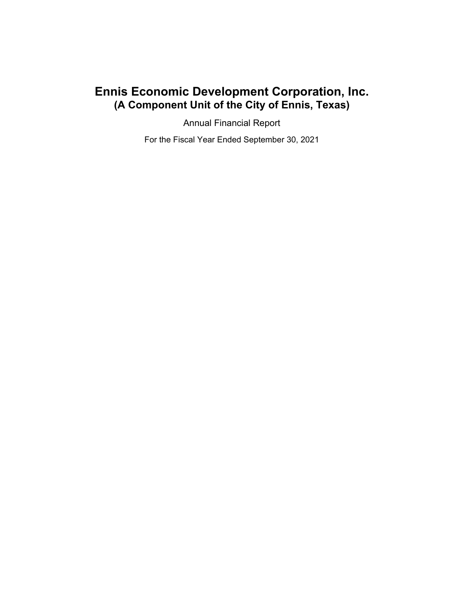Annual Financial Report

For the Fiscal Year Ended September 30, 2021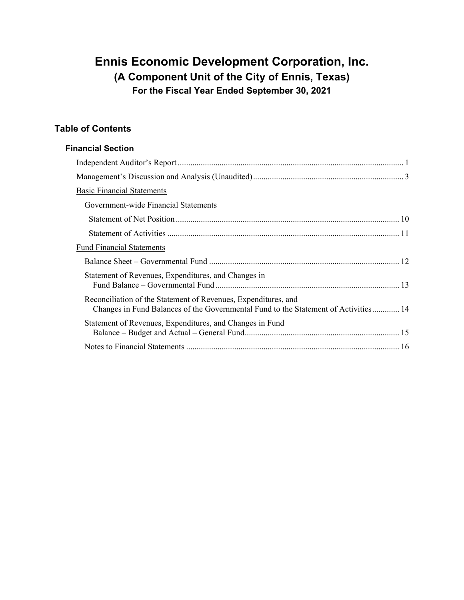## **Ennis Economic Development Corporation, Inc. (A Component Unit of the City of Ennis, Texas) For the Fiscal Year Ended September 30, 2021**

## **Table of Contents**

| <b>Financial Section</b>                                                                                                                              |
|-------------------------------------------------------------------------------------------------------------------------------------------------------|
|                                                                                                                                                       |
|                                                                                                                                                       |
| <b>Basic Financial Statements</b>                                                                                                                     |
| Government-wide Financial Statements                                                                                                                  |
|                                                                                                                                                       |
|                                                                                                                                                       |
| <b>Fund Financial Statements</b>                                                                                                                      |
|                                                                                                                                                       |
| Statement of Revenues, Expenditures, and Changes in                                                                                                   |
| Reconciliation of the Statement of Revenues, Expenditures, and<br>Changes in Fund Balances of the Governmental Fund to the Statement of Activities 14 |
| Statement of Revenues, Expenditures, and Changes in Fund                                                                                              |
|                                                                                                                                                       |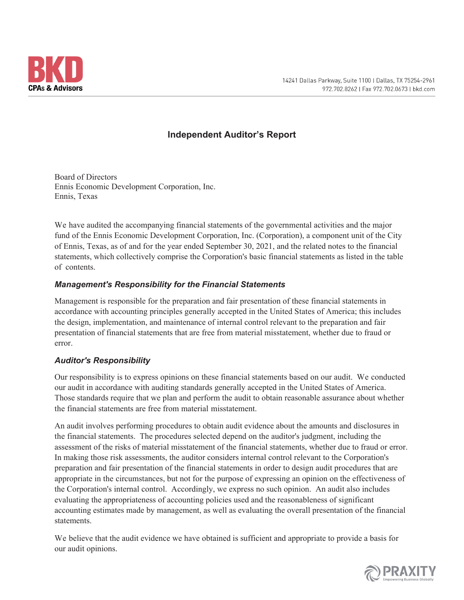

## **Independent Auditor's Report**

Board of Directors Ennis Economic Development Corporation, Inc. Ennis, Texas

We have audited the accompanying financial statements of the governmental activities and the major fund of the Ennis Economic Development Corporation, Inc. (Corporation), a component unit of the City of Ennis, Texas, as of and for the year ended September 30, 2021, and the related notes to the financial statements, which collectively comprise the Corporation's basic financial statements as listed in the table of contents.

## *Management's Responsibility for the Financial Statements*

Management is responsible for the preparation and fair presentation of these financial statements in accordance with accounting principles generally accepted in the United States of America; this includes the design, implementation, and maintenance of internal control relevant to the preparation and fair presentation of financial statements that are free from material misstatement, whether due to fraud or error.

### *Auditor's Responsibility*

Our responsibility is to express opinions on these financial statements based on our audit. We conducted our audit in accordance with auditing standards generally accepted in the United States of America. Those standards require that we plan and perform the audit to obtain reasonable assurance about whether the financial statements are free from material misstatement.

An audit involves performing procedures to obtain audit evidence about the amounts and disclosures in the financial statements. The procedures selected depend on the auditor's judgment, including the assessment of the risks of material misstatement of the financial statements, whether due to fraud or error. In making those risk assessments, the auditor considers internal control relevant to the Corporation's preparation and fair presentation of the financial statements in order to design audit procedures that are appropriate in the circumstances, but not for the purpose of expressing an opinion on the effectiveness of the Corporation's internal control. Accordingly, we express no such opinion. An audit also includes evaluating the appropriateness of accounting policies used and the reasonableness of significant accounting estimates made by management, as well as evaluating the overall presentation of the financial statements.

We believe that the audit evidence we have obtained is sufficient and appropriate to provide a basis for our audit opinions.

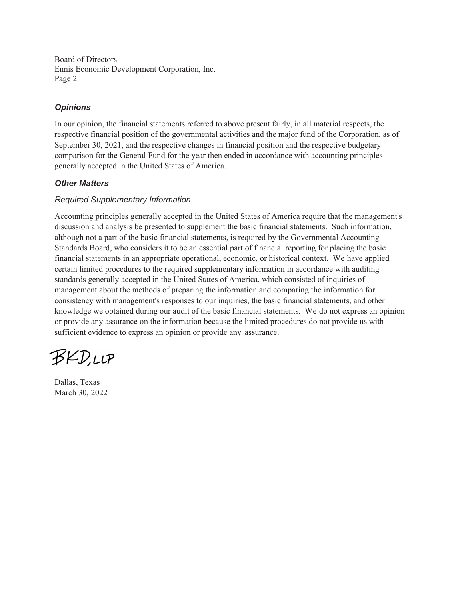Board of Directors Ennis Economic Development Corporation, Inc. Page 2

### *Opinions*

In our opinion, the financial statements referred to above present fairly, in all material respects, the respective financial position of the governmental activities and the major fund of the Corporation, as of September 30, 2021, and the respective changes in financial position and the respective budgetary comparison for the General Fund for the year then ended in accordance with accounting principles generally accepted in the United States of America.

## *Other Matters*

### *Required Supplementary Information*

Accounting principles generally accepted in the United States of America require that the management's discussion and analysis be presented to supplement the basic financial statements. Such information, although not a part of the basic financial statements, is required by the Governmental Accounting Standards Board, who considers it to be an essential part of financial reporting for placing the basic financial statements in an appropriate operational, economic, or historical context. We have applied certain limited procedures to the required supplementary information in accordance with auditing standards generally accepted in the United States of America, which consisted of inquiries of management about the methods of preparing the information and comparing the information for consistency with management's responses to our inquiries, the basic financial statements, and other knowledge we obtained during our audit of the basic financial statements. We do not express an opinion or provide any assurance on the information because the limited procedures do not provide us with sufficient evidence to express an opinion or provide any assurance.

BKD.LLP

Dallas, Texas March 30, 2022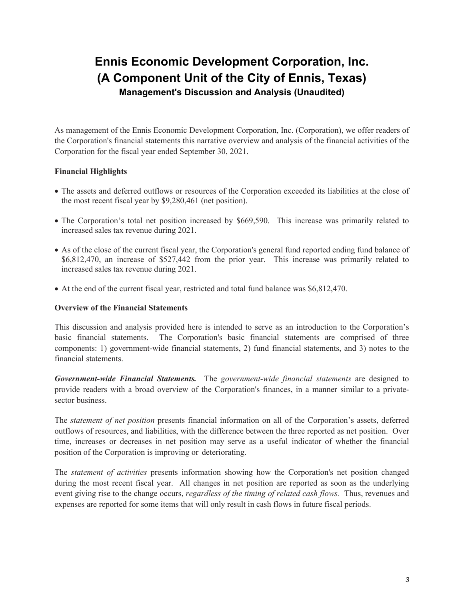## **Ennis Economic Development Corporation, Inc. (A Component Unit of the City of Ennis, Texas) Management's Discussion and Analysis (Unaudited)**

As management of the Ennis Economic Development Corporation, Inc. (Corporation), we offer readers of the Corporation's financial statements this narrative overview and analysis of the financial activities of the Corporation for the fiscal year ended September 30, 2021.

### **Financial Highlights**

- The assets and deferred outflows or resources of the Corporation exceeded its liabilities at the close of the most recent fiscal year by \$9,280,461 (net position).
- The Corporation's total net position increased by \$669,590. This increase was primarily related to increased sales tax revenue during 2021.
- As of the close of the current fiscal year, the Corporation's general fund reported ending fund balance of \$6,812,470, an increase of \$527,442 from the prior year. This increase was primarily related to increased sales tax revenue during 2021.
- At the end of the current fiscal year, restricted and total fund balance was \$6,812,470.

### **Overview of the Financial Statements**

This discussion and analysis provided here is intended to serve as an introduction to the Corporation's basic financial statements. The Corporation's basic financial statements are comprised of three components: 1) government-wide financial statements, 2) fund financial statements, and 3) notes to the financial statements.

*Government-wide Financial Statements.*The *government-wide financial statements* are designed to provide readers with a broad overview of the Corporation's finances, in a manner similar to a privatesector business.

The *statement of net position* presents financial information on all of the Corporation's assets, deferred outflows of resources, and liabilities, with the difference between the three reported as net position. Over time, increases or decreases in net position may serve as a useful indicator of whether the financial position of the Corporation is improving or deteriorating.

The *statement of activities* presents information showing how the Corporation's net position changed during the most recent fiscal year. All changes in net position are reported as soon as the underlying event giving rise to the change occurs, *regardless of the timing of related cash flows.* Thus, revenues and expenses are reported for some items that will only result in cash flows in future fiscal periods.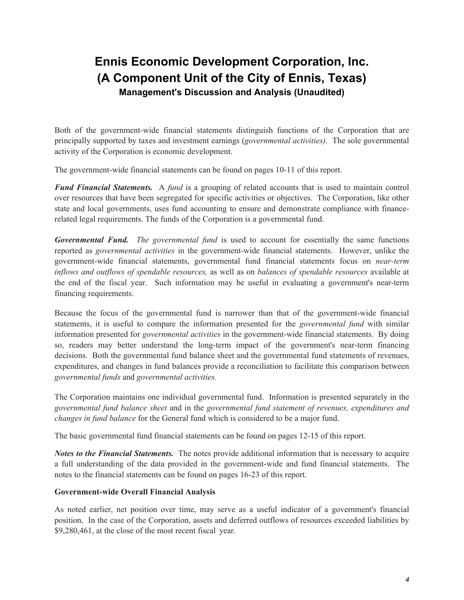## **Ennis Economic Development Corporation, Inc. (A Component Unit of the City of Ennis, Texas) Management's Discussion and Analysis (Unaudited)**

Both of the government-wide financial statements distinguish functions of the Corporation that are principally supported by taxes and investment earnings (*governmental activities)*. The sole governmental activity of the Corporation is economic development.

The government-wide financial statements can be found on pages 10-11 of this report.

*Fund Financial Statements.*A *fund* is a grouping of related accounts that is used to maintain control over resources that have been segregated for specific activities or objectives. The Corporation, like other state and local governments, uses fund accounting to ensure and demonstrate compliance with financerelated legal requirements. The funds of the Corporation is a governmental fund.

*Governmental Fund.**The governmental fund* is used to account for essentially the same functions reported as *governmental activities* in the government-wide financial statements. However, unlike the government-wide financial statements, governmental fund financial statements focus on *near-term inflows and outflows of spendable resources,* as well as on *balances of spendable resources* available at the end of the fiscal year. Such information may be useful in evaluating a government's near-term financing requirements.

Because the focus of the governmental fund is narrower than that of the government-wide financial statements, it is useful to compare the information presented for the *governmental fund* with similar information presented for *governmental activities* in the government-wide financial statements. By doing so, readers may better understand the long-term impact of the government's near-term financing decisions. Both the governmental fund balance sheet and the governmental fund statements of revenues, expenditures, and changes in fund balances provide a reconciliation to facilitate this comparison between *governmental funds* and *governmental activities.*

The Corporation maintains one individual governmental fund. Information is presented separately in the *governmental fund balance sheet* and in the *governmental fund statement of revenues, expenditures and changes in fund balance* for the General fund which is considered to be a major fund.

The basic governmental fund financial statements can be found on pages 12-15 of this report.

*Notes to the Financial Statements.*The notes provide additional information that is necessary to acquire a full understanding of the data provided in the government-wide and fund financial statements. The notes to the financial statements can be found on pages 16-23 of this report.

### **Government-wide Overall Financial Analysis**

As noted earlier, net position over time, may serve as a useful indicator of a government's financial position. In the case of the Corporation, assets and deferred outflows of resources exceeded liabilities by \$9,280,461, at the close of the most recent fiscal year.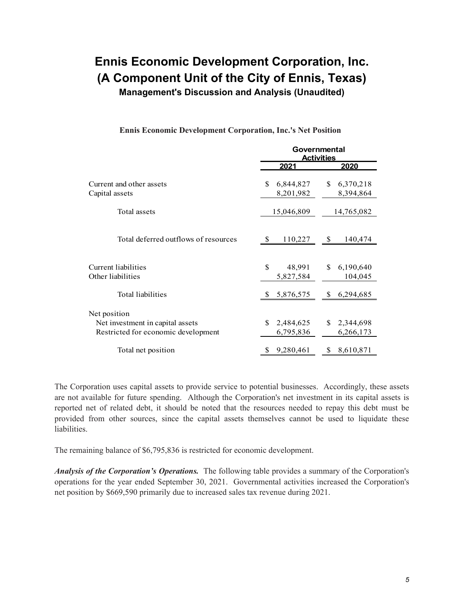**Management's Discussion and Analysis (Unaudited)** 

| <b>Ennis Economic Development Corporation, Inc.'s Net Position</b> |  |
|--------------------------------------------------------------------|--|
|                                                                    |  |

|                                                                         | Governmental<br><b>Activities</b> |                                          |  |  |
|-------------------------------------------------------------------------|-----------------------------------|------------------------------------------|--|--|
|                                                                         | 2021                              | 2020                                     |  |  |
| Current and other assets<br>Capital assets                              | \$<br>6,844,827<br>8,201,982      | $\mathbb{S}^-$<br>6,370,218<br>8,394,864 |  |  |
| Total assets                                                            | 15,046,809                        | 14,765,082                               |  |  |
| Total deferred outflows of resources                                    | -S<br>110,227                     | 140,474<br><sup>\$</sup>                 |  |  |
| Current liabilities<br>Other liabilities                                | \$<br>48,991<br>5,827,584         | \$.<br>6,190,640<br>104,045              |  |  |
| Total liabilities                                                       | \$ 5,876,575                      | 6,294,685                                |  |  |
| Net position                                                            |                                   |                                          |  |  |
| Net investment in capital assets<br>Restricted for economic development | \$<br>2,484,625<br>6,795,836      | S.<br>2,344,698<br>6,266,173             |  |  |
| Total net position                                                      | 9,280,461                         | 8,610,871                                |  |  |
|                                                                         |                                   |                                          |  |  |

The Corporation uses capital assets to provide service to potential businesses. Accordingly, these assets are not available for future spending. Although the Corporation's net investment in its capital assets is reported net of related debt, it should be noted that the resources needed to repay this debt must be provided from other sources, since the capital assets themselves cannot be used to liquidate these liabilities.

The remaining balance of \$6,795,836 is restricted for economic development.

*Analysis of the Corporation's Operations.* The following table provides a summary of the Corporation's operations for the year ended September 30, 2021. Governmental activities increased the Corporation's net position by \$669,590 primarily due to increased sales tax revenue during 2021.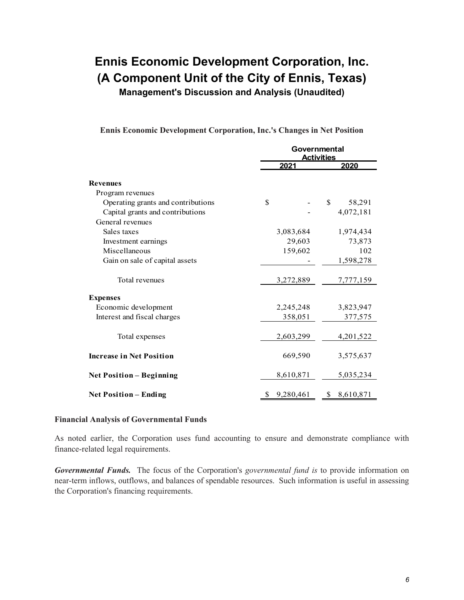**Management's Discussion and Analysis (Unaudited)** 

|                                    |                   | Governmental    |  |  |  |
|------------------------------------|-------------------|-----------------|--|--|--|
|                                    | <b>Activities</b> |                 |  |  |  |
|                                    | 2021              | 2020            |  |  |  |
| <b>Revenues</b>                    |                   |                 |  |  |  |
| Program revenues                   |                   |                 |  |  |  |
| Operating grants and contributions | \$                | \$<br>58,291    |  |  |  |
| Capital grants and contributions   |                   | 4,072,181       |  |  |  |
| General revenues                   |                   |                 |  |  |  |
| Sales taxes                        | 3,083,684         | 1,974,434       |  |  |  |
| Investment earnings                | 29,603            | 73,873          |  |  |  |
| Miscellaneous                      | 159,602           | 102             |  |  |  |
| Gain on sale of capital assets     |                   | 1,598,278       |  |  |  |
|                                    |                   |                 |  |  |  |
| Total revenues                     | 3,272,889         | 7,777,159       |  |  |  |
|                                    |                   |                 |  |  |  |
| <b>Expenses</b>                    |                   |                 |  |  |  |
| Economic development               | 2,245,248         | 3,823,947       |  |  |  |
| Interest and fiscal charges        | 358,051           | 377,575         |  |  |  |
|                                    |                   |                 |  |  |  |
| Total expenses                     | 2,603,299         | 4,201,522       |  |  |  |
|                                    |                   |                 |  |  |  |
| <b>Increase in Net Position</b>    | 669,590           | 3,575,637       |  |  |  |
| <b>Net Position - Beginning</b>    | 8,610,871         | 5,035,234       |  |  |  |
|                                    |                   |                 |  |  |  |
| <b>Net Position - Ending</b>       | 9,280,461<br>S    | 8,610,871<br>S. |  |  |  |

#### **Financial Analysis of Governmental Funds**

As noted earlier, the Corporation uses fund accounting to ensure and demonstrate compliance with finance-related legal requirements.

*Governmental Funds.* The focus of the Corporation's *governmental fund is* to provide information on near-term inflows, outflows, and balances of spendable resources. Such information is useful in assessing the Corporation's financing requirements.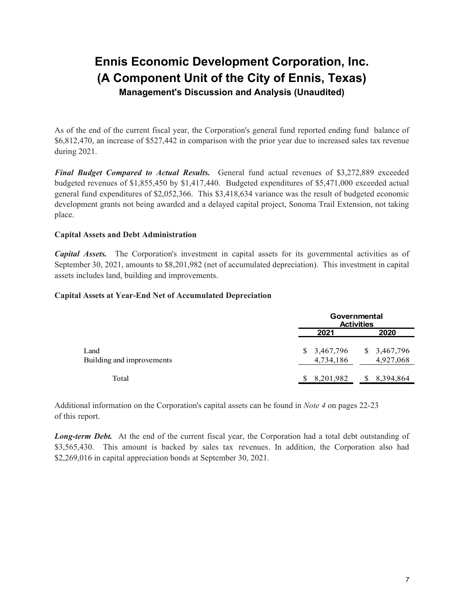## **Ennis Economic Development Corporation, Inc. (A Component Unit of the City of Ennis, Texas) Management's Discussion and Analysis (Unaudited)**

As of the end of the current fiscal year, the Corporation's general fund reported ending fund balance of \$6,812,470, an increase of \$527,442 in comparison with the prior year due to increased sales tax revenue during 2021.

*Final Budget Compared to Actual Results.* General fund actual revenues of \$3,272,889 exceeded budgeted revenues of \$1,855,450 by \$1,417,440. Budgeted expenditures of \$5,471,000 exceeded actual general fund expenditures of \$2,052,366. This \$3,418,634 variance was the result of budgeted economic development grants not being awarded and a delayed capital project, Sonoma Trail Extension, not taking place.

### **Capital Assets and Debt Administration**

*Capital Assets.*The Corporation's investment in capital assets for its governmental activities as of September 30, 2021, amounts to \$8,201,982 (net of accumulated depreciation). This investment in capital assets includes land, building and improvements.

#### **Capital Assets at Year-End Net of Accumulated Depreciation**

|                                   |                              | Governmental<br><b>Activities</b> |  |  |  |
|-----------------------------------|------------------------------|-----------------------------------|--|--|--|
|                                   | 2021                         | 2020                              |  |  |  |
| Land<br>Building and improvements | 3,467,796<br>S.<br>4,734,186 | \$3,467,796<br>4,927,068          |  |  |  |
| Total                             | 8,201,982                    | 8,394,864                         |  |  |  |

Additional information on the Corporation's capital assets can be found in *Note 4* on pages 22-23 of this report.

**Long-term Debt.** At the end of the current fiscal year, the Corporation had a total debt outstanding of \$3,565,430. This amount is backed by sales tax revenues. In addition, the Corporation also had \$2,269,016 in capital appreciation bonds at September 30, 2021.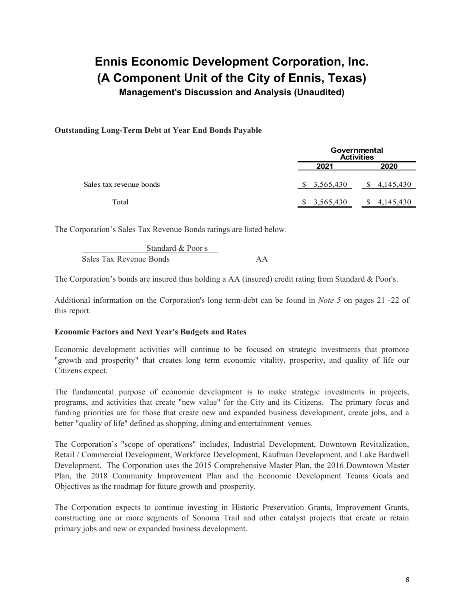**Management's Discussion and Analysis (Unaudited)** 

#### **Outstanding Long-Term Debt at Year End Bonds Payable**

|                         |             | Governmental<br><b>Activities</b> |  |  |  |
|-------------------------|-------------|-----------------------------------|--|--|--|
|                         | 2021        | 2020                              |  |  |  |
| Sales tax revenue bonds | \$3,565,430 | 4,145,430                         |  |  |  |
| Total                   | 3,565,430   | 4,145,430                         |  |  |  |

The Corporation's Sales Tax Revenue Bonds ratings are listed below.

| Standard & Poor s       |  |
|-------------------------|--|
| Sales Tax Revenue Bonds |  |

The Corporation's bonds are insured thus holding a AA (insured) credit rating from Standard & Poor's.

Additional information on the Corporation's long term-debt can be found in *Note 5* on pages 21 -22 of this report.

### **Economic Factors and Next Year's Budgets and Rates**

Economic development activities will continue to be focused on strategic investments that promote "growth and prosperity" that creates long term economic vitality, prosperity, and quality of life our Citizens expect.

The fundamental purpose of economic development is to make strategic investments in projects, programs, and activities that create "new value" for the City and its Citizens. The primary focus and funding priorities are for those that create new and expanded business development, create jobs, and a better "quality of life" defined as shopping, dining and entertainment venues.

The Corporation's "scope of operations" includes, Industrial Development, Downtown Revitalization, Retail / Commercial Development, Workforce Development, Kaufman Development, and Lake Bardwell Development. The Corporation uses the 2015 Comprehensive Master Plan, the 2016 Downtown Master Plan, the 2018 Community Improvement Plan and the Economic Development Teams Goals and Objectives as the roadmap for future growth and prosperity.

The Corporation expects to continue investing in Historic Preservation Grants, Improvement Grants, constructing one or more segments of Sonoma Trail and other catalyst projects that create or retain primary jobs and new or expanded business development.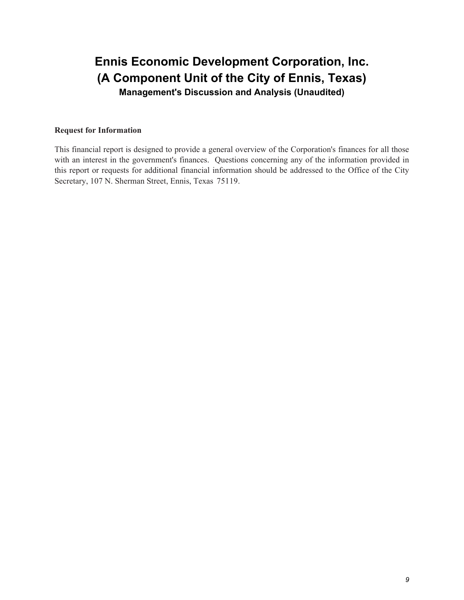## **Ennis Economic Development Corporation, Inc. (A Component Unit of the City of Ennis, Texas) Management's Discussion and Analysis (Unaudited)**

#### **Request for Information**

This financial report is designed to provide a general overview of the Corporation's finances for all those with an interest in the government's finances. Questions concerning any of the information provided in this report or requests for additional financial information should be addressed to the Office of the City Secretary, 107 N. Sherman Street, Ennis, Texas 75119.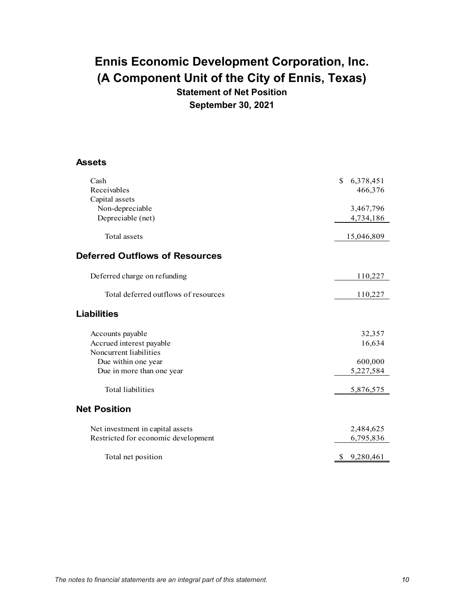**Statement of Net Position** 

**September 30, 2021** 

### **Assets**

| Cash                                  | \$<br>6,378,451 |
|---------------------------------------|-----------------|
| Receivables                           | 466,376         |
| Capital assets                        |                 |
| Non-depreciable                       | 3,467,796       |
| Depreciable (net)                     | 4,734,186       |
| Total assets                          | 15,046,809      |
| <b>Deferred Outflows of Resources</b> |                 |
| Deferred charge on refunding          | 110,227         |
| Total deferred outflows of resources  | 110,227         |
| <b>Liabilities</b>                    |                 |
| Accounts payable                      | 32,357          |
| Accrued interest payable              | 16,634          |
| Noncurrent liabilities                |                 |
| Due within one year                   | 600,000         |
| Due in more than one year             | 5,227,584       |
| <b>Total liabilities</b>              | 5,876,575       |
| <b>Net Position</b>                   |                 |
| Net investment in capital assets      | 2,484,625       |
| Restricted for economic development   | 6,795,836       |
| Total net position                    | \$<br>9,280,461 |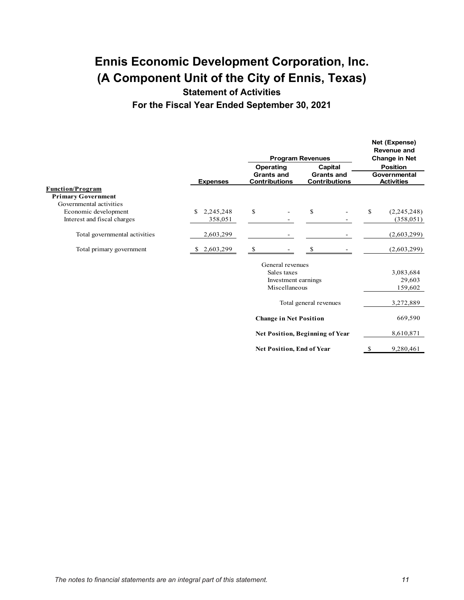# **Statement of Activities**

**For the Fiscal Year Ended September 30, 2021** 

|                                                      |                 |     |                                                               | <b>Program Revenues</b>                              | Net (Expense)<br>Revenue and<br><b>Change in Net</b> |
|------------------------------------------------------|-----------------|-----|---------------------------------------------------------------|------------------------------------------------------|------------------------------------------------------|
|                                                      | <b>Expenses</b> |     | <b>Operating</b><br><b>Grants and</b><br><b>Contributions</b> | Capital<br><b>Grants and</b><br><b>Contributions</b> | <b>Position</b><br>Governmental<br><b>Activities</b> |
| <b>Function/Program</b>                              |                 |     |                                                               |                                                      |                                                      |
| <b>Primary Government</b><br>Governmental activities |                 |     |                                                               |                                                      |                                                      |
| Economic development                                 | S.<br>2,245,248 | \$  |                                                               | \$                                                   | \$<br>(2,245,248)                                    |
| Interest and fiscal charges                          | 358,051         |     |                                                               |                                                      | (358, 051)                                           |
| Total governmental activities                        | 2,603,299       |     |                                                               |                                                      | (2,603,299)                                          |
| Total primary government                             | 2,603,299<br>S. | -\$ |                                                               | \$                                                   | (2,603,299)                                          |
|                                                      |                 |     | General revenues                                              |                                                      |                                                      |
|                                                      |                 |     | Sales taxes                                                   |                                                      | 3,083,684                                            |
|                                                      |                 |     | Investment earnings                                           |                                                      | 29,603                                               |
|                                                      |                 |     | Miscellaneous                                                 |                                                      | 159,602                                              |
|                                                      |                 |     |                                                               | Total general revenues                               | 3,272,889                                            |
|                                                      |                 |     | <b>Change in Net Position</b>                                 |                                                      | 669,590                                              |
|                                                      |                 |     |                                                               | Net Position, Beginning of Year                      | 8,610,871                                            |
|                                                      |                 |     |                                                               | <b>Net Position, End of Year</b>                     | 9,280,461                                            |
|                                                      |                 |     |                                                               |                                                      |                                                      |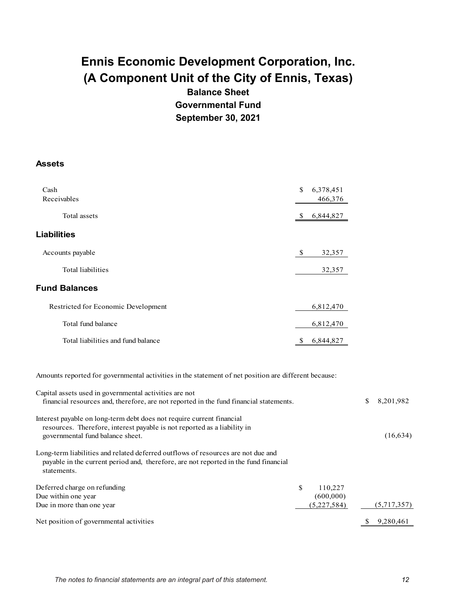**Balance Sheet Governmental Fund September 30, 2021** 

### **Assets**

| Cash                                                                                                                                                                                    | \$            | 6,378,451                |                 |
|-----------------------------------------------------------------------------------------------------------------------------------------------------------------------------------------|---------------|--------------------------|-----------------|
| Receivables                                                                                                                                                                             |               | 466,376                  |                 |
| Total assets                                                                                                                                                                            | \$            | 6,844,827                |                 |
| <b>Liabilities</b>                                                                                                                                                                      |               |                          |                 |
| Accounts payable                                                                                                                                                                        | <sup>\$</sup> | 32,357                   |                 |
| Total liabilities                                                                                                                                                                       |               | 32,357                   |                 |
| <b>Fund Balances</b>                                                                                                                                                                    |               |                          |                 |
| Restricted for Economic Development                                                                                                                                                     |               | 6,812,470                |                 |
| Total fund balance                                                                                                                                                                      |               | 6,812,470                |                 |
| Total liabilities and fund balance                                                                                                                                                      | <sup>8</sup>  | 6,844,827                |                 |
| Amounts reported for governmental activities in the statement of net position are different because:                                                                                    |               |                          |                 |
| Capital assets used in governmental activities are not<br>financial resources and, therefore, are not reported in the fund financial statements.                                        |               |                          | \$<br>8,201,982 |
| Interest payable on long-term debt does not require current financial<br>resources. Therefore, interest payable is not reported as a liability in<br>governmental fund balance sheet.   |               |                          | (16, 634)       |
| Long-term liabilities and related deferred outflows of resources are not due and<br>payable in the current period and, therefore, are not reported in the fund financial<br>statements. |               |                          |                 |
| Deferred charge on refunding                                                                                                                                                            | \$            | 110,227                  |                 |
| Due within one year<br>Due in more than one year                                                                                                                                        |               | (600,000)<br>(5,227,584) | (5,717,357)     |
| Net position of governmental activities                                                                                                                                                 |               |                          | \$<br>9,280,461 |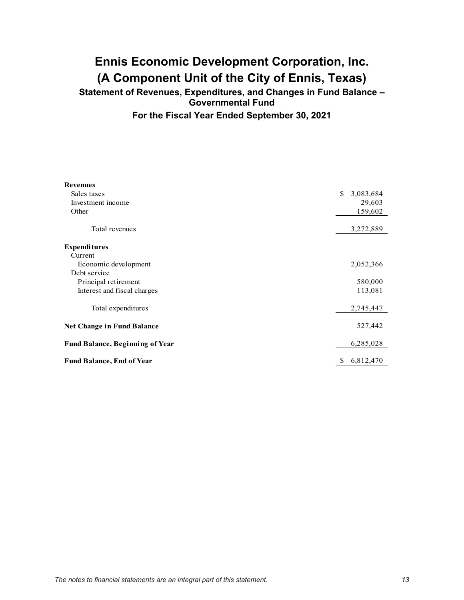**Statement of Revenues, Expenditures, and Changes in Fund Balance – Governmental Fund** 

**For the Fiscal Year Ended September 30, 2021** 

| <b>Revenues</b>                        |                 |
|----------------------------------------|-----------------|
| Sales taxes                            | \$<br>3,083,684 |
| Investment income                      | 29,603          |
| Other                                  | 159,602         |
| Total revenues                         | 3,272,889       |
| <b>Expenditures</b>                    |                 |
| Current                                |                 |
| Economic development                   | 2,052,366       |
| Debt service                           |                 |
| Principal retirement                   | 580,000         |
| Interest and fiscal charges            | 113,081         |
| Total expenditures                     | 2,745,447       |
| <b>Net Change in Fund Balance</b>      | 527,442         |
| <b>Fund Balance, Beginning of Year</b> | 6,285,028       |
| <b>Fund Balance, End of Year</b>       | 6,812,470       |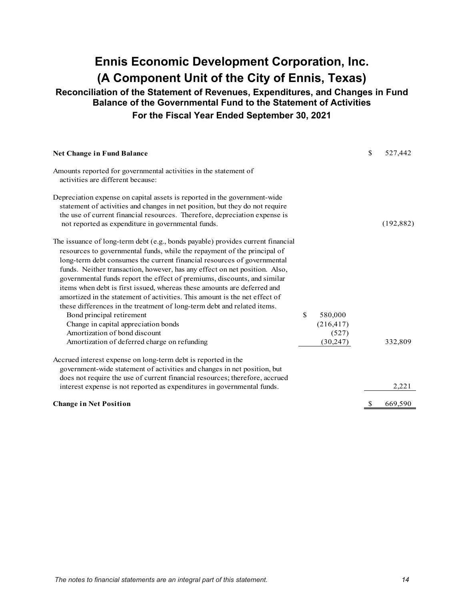**Reconciliation of the Statement of Revenues, Expenditures, and Changes in Fund Balance of the Governmental Fund to the Statement of Activities For the Fiscal Year Ended September 30, 2021** 

| <b>Net Change in Fund Balance</b>                                                                                                                                                                                                                                                                                                                                                                                                                                                                                                                                                                                                                                                                         |              |                       | \$<br>527,442 |
|-----------------------------------------------------------------------------------------------------------------------------------------------------------------------------------------------------------------------------------------------------------------------------------------------------------------------------------------------------------------------------------------------------------------------------------------------------------------------------------------------------------------------------------------------------------------------------------------------------------------------------------------------------------------------------------------------------------|--------------|-----------------------|---------------|
| Amounts reported for governmental activities in the statement of<br>activities are different because:                                                                                                                                                                                                                                                                                                                                                                                                                                                                                                                                                                                                     |              |                       |               |
| Depreciation expense on capital assets is reported in the government-wide<br>statement of activities and changes in net position, but they do not require<br>the use of current financial resources. Therefore, depreciation expense is<br>not reported as expenditure in governmental funds.                                                                                                                                                                                                                                                                                                                                                                                                             |              |                       | (192, 882)    |
| The issuance of long-term debt (e.g., bonds payable) provides current financial<br>resources to governmental funds, while the repayment of the principal of<br>long-term debt consumes the current financial resources of governmental<br>funds. Neither transaction, however, has any effect on net position. Also,<br>governmental funds report the effect of premiums, discounts, and similar<br>items when debt is first issued, whereas these amounts are deferred and<br>amortized in the statement of activities. This amount is the net effect of<br>these differences in the treatment of long-term debt and related items.<br>Bond principal retirement<br>Change in capital appreciation bonds | $\mathbb{S}$ | 580,000<br>(216, 417) |               |
| Amortization of bond discount<br>Amortization of deferred charge on refunding                                                                                                                                                                                                                                                                                                                                                                                                                                                                                                                                                                                                                             |              | (527)<br>(30, 247)    | 332,809       |
| Accrued interest expense on long-term debt is reported in the<br>government-wide statement of activities and changes in net position, but<br>does not require the use of current financial resources; therefore, accrued                                                                                                                                                                                                                                                                                                                                                                                                                                                                                  |              |                       |               |
| interest expense is not reported as expenditures in governmental funds.                                                                                                                                                                                                                                                                                                                                                                                                                                                                                                                                                                                                                                   |              |                       | 2,221         |
| <b>Change in Net Position</b>                                                                                                                                                                                                                                                                                                                                                                                                                                                                                                                                                                                                                                                                             |              |                       | 669,590       |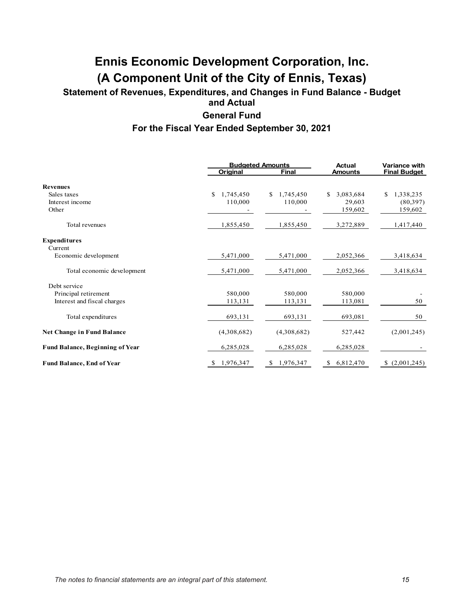## **Statement of Revenues, Expenditures, and Changes in Fund Balance - Budget and Actual**

## **General Fund For the Fiscal Year Ended September 30, 2021**

|                                        |                           | <b>Budgeted Amounts</b> |                 | Variance with       |  |
|----------------------------------------|---------------------------|-------------------------|-----------------|---------------------|--|
|                                        | Original                  | <b>Final</b>            | <b>Amounts</b>  | <b>Final Budget</b> |  |
| <b>Revenues</b>                        |                           |                         |                 |                     |  |
| Sales taxes                            | \$<br>1,745,450           | \$<br>1,745,450         | \$<br>3,083,684 | \$<br>1,338,235     |  |
| Interest income                        | 110,000                   | 110,000                 | 29,603          | (80,397)            |  |
| Other                                  |                           |                         | 159,602         | 159,602             |  |
| Total revenues                         | 1,855,450                 | 1,855,450               | 3,272,889       | 1,417,440           |  |
| <b>Expenditures</b>                    |                           |                         |                 |                     |  |
| Current                                |                           |                         |                 |                     |  |
| Economic development                   | 5,471,000                 | 5,471,000               | 2,052,366       | 3,418,634           |  |
| Total economic development             | 5,471,000                 | 5,471,000               | 2,052,366       | 3,418,634           |  |
| Debt service                           |                           |                         |                 |                     |  |
| Principal retirement                   | 580,000                   | 580,000                 | 580,000         |                     |  |
| Interest and fiscal charges            | 113,131                   | 113,131                 | 113,081         | 50                  |  |
| Total expenditures                     | 693,131                   | 693,131                 | 693,081         | 50                  |  |
| <b>Net Change in Fund Balance</b>      | (4,308,682)               | (4,308,682)             | 527,442         | (2,001,245)         |  |
| <b>Fund Balance, Beginning of Year</b> | 6,285,028                 | 6,285,028               | 6,285,028       |                     |  |
| <b>Fund Balance, End of Year</b>       | 1,976,347<br><sup>S</sup> | 1,976,347<br>S          | 6,812,470<br>S. | \$(2,001,245)       |  |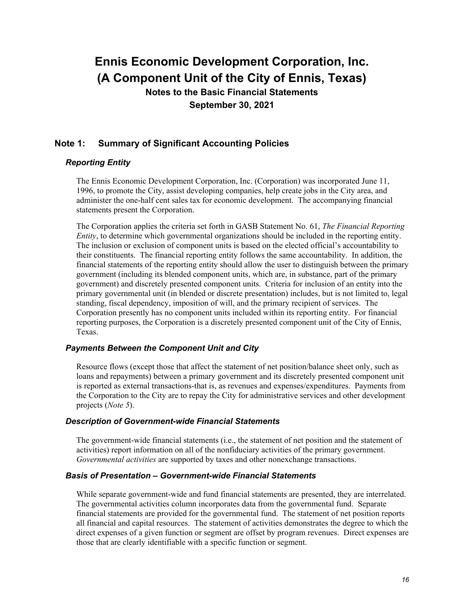**Notes to the Basic Financial Statements September 30, 2021** 

## **Note 1: Summary of Significant Accounting Policies**

## *Reporting Entity*

The Ennis Economic Development Corporation, Inc. (Corporation) was incorporated June 11, 1996, to promote the City, assist developing companies, help create jobs in the City area, and administer the one-half cent sales tax for economic development. The accompanying financial statements present the Corporation.

The Corporation applies the criteria set forth in GASB Statement No. 61, *The Financial Reporting Entity*, to determine which governmental organizations should be included in the reporting entity. The inclusion or exclusion of component units is based on the elected official's accountability to their constituents. The financial reporting entity follows the same accountability. In addition, the financial statements of the reporting entity should allow the user to distinguish between the primary government (including its blended component units, which are, in substance, part of the primary government) and discretely presented component units. Criteria for inclusion of an entity into the primary governmental unit (in blended or discrete presentation) includes, but is not limited to, legal standing, fiscal dependency, imposition of will, and the primary recipient of services. The Corporation presently has no component units included within its reporting entity. For financial reporting purposes, the Corporation is a discretely presented component unit of the City of Ennis, Texas.

### *Payments Between the Component Unit and City*

Resource flows (except those that affect the statement of net position/balance sheet only, such as loans and repayments) between a primary government and its discretely presented component unit is reported as external transactions-that is, as revenues and expenses/expenditures. Payments from the Corporation to the City are to repay the City for administrative services and other development projects (*Note 5*).

### *Description of Government-wide Financial Statements*

The government-wide financial statements (i.e., the statement of net position and the statement of activities) report information on all of the nonfiduciary activities of the primary government. *Governmental activities* are supported by taxes and other nonexchange transactions.

#### *Basis of Presentation – Government-wide Financial Statements*

While separate government-wide and fund financial statements are presented, they are interrelated. The governmental activities column incorporates data from the governmental fund. Separate financial statements are provided for the governmental fund. The statement of net position reports all financial and capital resources. The statement of activities demonstrates the degree to which the direct expenses of a given function or segment are offset by program revenues. Direct expenses are those that are clearly identifiable with a specific function or segment.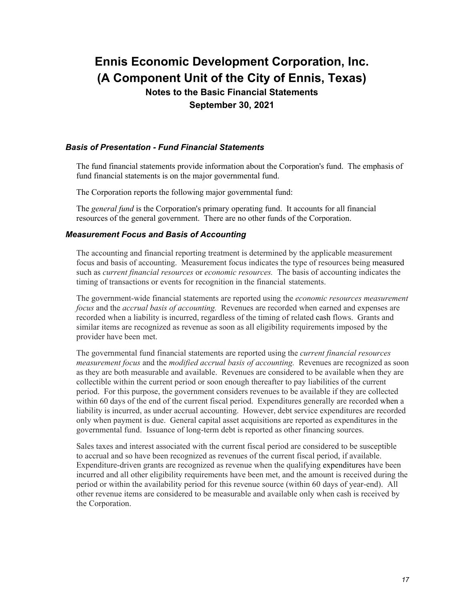**Notes to the Basic Financial Statements September 30, 2021** 

#### *Basis of Presentation - Fund Financial Statements*

The fund financial statements provide information about the Corporation's fund. The emphasis of fund financial statements is on the major governmental fund.

The Corporation reports the following major governmental fund:

The *general fund* is the Corporation's primary operating fund. It accounts for all financial resources of the general government. There are no other funds of the Corporation.

#### *Measurement Focus and Basis of Accounting*

The accounting and financial reporting treatment is determined by the applicable measurement focus and basis of accounting. Measurement focus indicates the type of resources being measured such as *current financial resources* or *economic resources.* The basis of accounting indicates the timing of transactions or events for recognition in the financial statements.

The government-wide financial statements are reported using the *economic resources measurement focus* and the *accrual basis of accounting.* Revenues are recorded when earned and expenses are recorded when a liability is incurred, regardless of the timing of related cash flows. Grants and similar items are recognized as revenue as soon as all eligibility requirements imposed by the provider have been met.

The governmental fund financial statements are reported using the *current financial resources measurement focus* and the *modified accrual basis of accounting.* Revenues are recognized as soon as they are both measurable and available. Revenues are considered to be available when they are collectible within the current period or soon enough thereafter to pay liabilities of the current period. For this purpose, the government considers revenues to be available if they are collected within 60 days of the end of the current fiscal period. Expenditures generally are recorded when a liability is incurred, as under accrual accounting. However, debt service expenditures are recorded only when payment is due. General capital asset acquisitions are reported as expenditures in the governmental fund. Issuance of long-term debt is reported as other financing sources.

Sales taxes and interest associated with the current fiscal period are considered to be susceptible to accrual and so have been recognized as revenues of the current fiscal period, if available. Expenditure-driven grants are recognized as revenue when the qualifying expenditures have been incurred and all other eligibility requirements have been met, and the amount is received during the period or within the availability period for this revenue source (within 60 days of year-end). All other revenue items are considered to be measurable and available only when cash is received by the Corporation.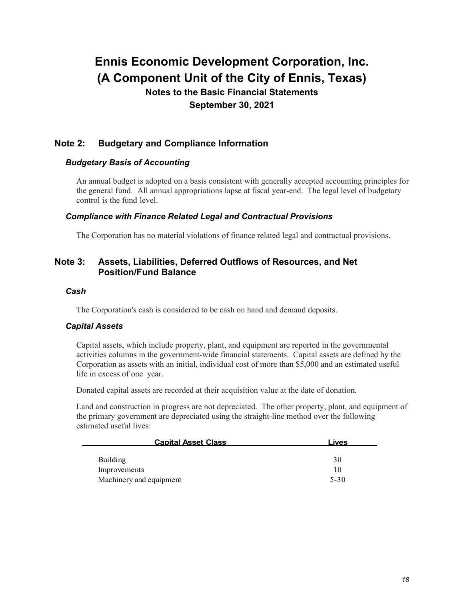## **Notes to the Basic Financial Statements September 30, 2021**

## **Note 2: Budgetary and Compliance Information**

## *Budgetary Basis of Accounting*

An annual budget is adopted on a basis consistent with generally accepted accounting principles for the general fund. All annual appropriations lapse at fiscal year-end. The legal level of budgetary control is the fund level.

### *Compliance with Finance Related Legal and Contractual Provisions*

The Corporation has no material violations of finance related legal and contractual provisions.

## **Note 3: Assets, Liabilities, Deferred Outflows of Resources, and Net Position/Fund Balance**

#### *Cash*

The Corporation's cash is considered to be cash on hand and demand deposits.

### *Capital Assets*

Capital assets, which include property, plant, and equipment are reported in the governmental activities columns in the government-wide financial statements. Capital assets are defined by the Corporation as assets with an initial, individual cost of more than \$5,000 and an estimated useful life in excess of one year.

Donated capital assets are recorded at their acquisition value at the date of donation.

Land and construction in progress are not depreciated. The other property, plant, and equipment of the primary government are depreciated using the straight-line method over the following estimated useful lives:

| <b>Capital Asset Class</b> | ∟ives    |
|----------------------------|----------|
|                            |          |
| Building                   | 30       |
| Improvements               | 10       |
| Machinery and equipment    | $5 - 30$ |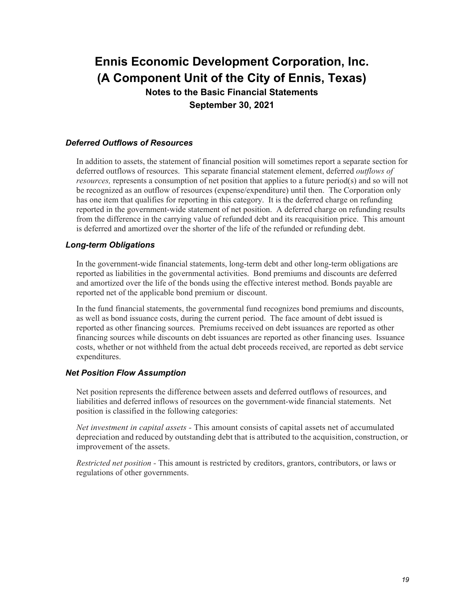**Notes to the Basic Financial Statements September 30, 2021** 

## *Deferred Outflows of Resources*

In addition to assets, the statement of financial position will sometimes report a separate section for deferred outflows of resources. This separate financial statement element, deferred *outflows of resources,* represents a consumption of net position that applies to a future period(s) and so will not be recognized as an outflow of resources (expense/expenditure) until then. The Corporation only has one item that qualifies for reporting in this category. It is the deferred charge on refunding reported in the government-wide statement of net position. A deferred charge on refunding results from the difference in the carrying value of refunded debt and its reacquisition price. This amount is deferred and amortized over the shorter of the life of the refunded or refunding debt.

## *Long-term Obligations*

In the government-wide financial statements, long-term debt and other long-term obligations are reported as liabilities in the governmental activities. Bond premiums and discounts are deferred and amortized over the life of the bonds using the effective interest method. Bonds payable are reported net of the applicable bond premium or discount.

In the fund financial statements, the governmental fund recognizes bond premiums and discounts, as well as bond issuance costs, during the current period. The face amount of debt issued is reported as other financing sources. Premiums received on debt issuances are reported as other financing sources while discounts on debt issuances are reported as other financing uses. Issuance costs, whether or not withheld from the actual debt proceeds received, are reported as debt service expenditures.

### *Net Position Flow Assumption*

Net position represents the difference between assets and deferred outflows of resources, and liabilities and deferred inflows of resources on the government-wide financial statements. Net position is classified in the following categories:

*Net investment in capital assets -* This amount consists of capital assets net of accumulated depreciation and reduced by outstanding debt that is attributed to the acquisition, construction, or improvement of the assets.

*Restricted net position -* This amount is restricted by creditors, grantors, contributors, or laws or regulations of other governments.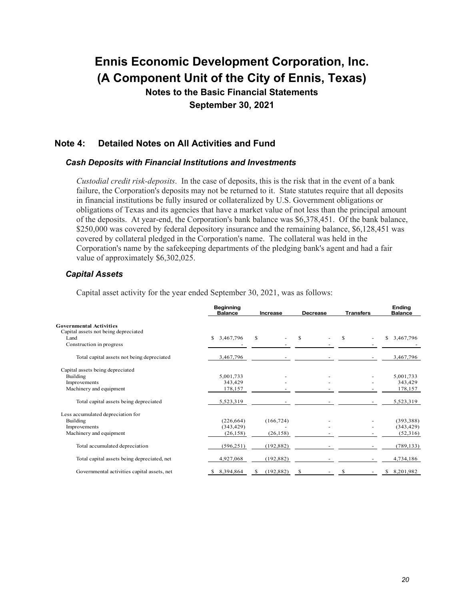**Notes to the Basic Financial Statements September 30, 2021** 

## **Note 4: Detailed Notes on All Activities and Fund**

#### *Cash Deposits with Financial Institutions and Investments*

*Custodial credit risk-deposits*. In the case of deposits, this is the risk that in the event of a bank failure, the Corporation's deposits may not be returned to it. State statutes require that all deposits in financial institutions be fully insured or collateralized by U.S. Government obligations or obligations of Texas and its agencies that have a market value of not less than the principal amount of the deposits. At year-end, the Corporation's bank balance was \$6,378,451. Of the bank balance, \$250,000 was covered by federal depository insurance and the remaining balance, \$6,128,451 was covered by collateral pledged in the Corporation's name. The collateral was held in the Corporation's name by the safekeeping departments of the pledging bank's agent and had a fair value of approximately \$6,302,025.

#### *Capital Assets*

Capital asset activity for the year ended September 30, 2021, was as follows:

|                                             | <b>Beginning</b><br><b>Balance</b> | <b>Increase</b> |     | <b>Transfers</b> | Ending<br><b>Balance</b> |  |
|---------------------------------------------|------------------------------------|-----------------|-----|------------------|--------------------------|--|
| <b>Governmental Activities</b>              |                                    |                 |     |                  |                          |  |
| Capital assets not being depreciated        |                                    |                 |     |                  |                          |  |
| Land                                        | 3,467,796<br>S                     | S.              | \$. | \$.              | 3,467,796                |  |
| Construction in progress                    |                                    |                 |     |                  |                          |  |
| Total capital assets not being depreciated  | 3,467,796                          |                 |     |                  | 3,467,796                |  |
| Capital assets being depreciated            |                                    |                 |     |                  |                          |  |
| Building                                    | 5,001,733                          |                 |     |                  | 5,001,733                |  |
| Improvements                                | 343,429                            |                 |     |                  | 343,429                  |  |
| Machinery and equipment                     | 178,157                            |                 |     |                  | 178,157                  |  |
| Total capital assets being depreciated      | 5,523,319                          |                 |     |                  | 5,523,319                |  |
| Less accumulated depreciation for           |                                    |                 |     |                  |                          |  |
| Building                                    | (226, 664)                         | (166, 724)      |     |                  | (393, 388)               |  |
| Improvements                                | (343, 429)                         |                 |     |                  | (343, 429)               |  |
| Machinery and equipment                     | (26, 158)                          | (26, 158)       |     |                  | (52,316)                 |  |
| Total accumulated depreciation              | (596, 251)                         | (192, 882)      |     |                  | (789, 133)               |  |
| Total capital assets being depreciated, net | 4,927,068                          | (192, 882)      |     |                  | 4,734,186                |  |
| Governmental activities capital assets, net | 8,394,864                          | (192, 882)      | -S  |                  | 8,201,982<br>S           |  |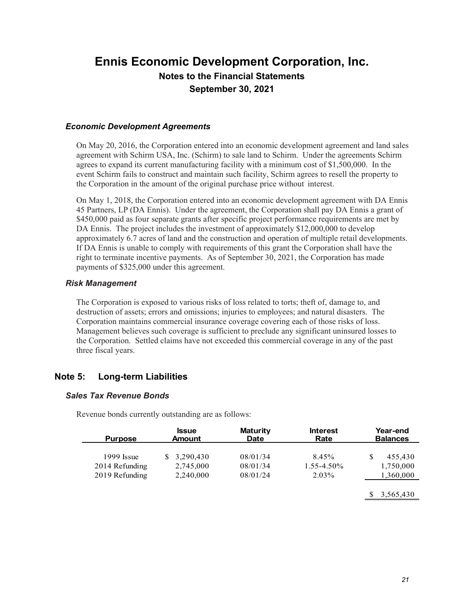## **Ennis Economic Development Corporation, Inc. Notes to the Financial Statements September 30, 2021**

#### *Economic Development Agreements*

On May 20, 2016, the Corporation entered into an economic development agreement and land sales agreement with Schirm USA, Inc. (Schirm) to sale land to Schirm. Under the agreements Schirm agrees to expand its current manufacturing facility with a minimum cost of \$1,500,000. In the event Schirm fails to construct and maintain such facility, Schirm agrees to resell the property to the Corporation in the amount of the original purchase price without interest.

On May 1, 2018, the Corporation entered into an economic development agreement with DA Ennis 45 Partners, LP (DA Ennis). Under the agreement, the Corporation shall pay DA Ennis a grant of \$450,000 paid as four separate grants after specific project performance requirements are met by DA Ennis. The project includes the investment of approximately \$12,000,000 to develop approximately 6.7 acres of land and the construction and operation of multiple retail developments. If DA Ennis is unable to comply with requirements of this grant the Corporation shall have the right to terminate incentive payments. As of September 30, 2021, the Corporation has made payments of \$325,000 under this agreement.

#### *Risk Management*

The Corporation is exposed to various risks of loss related to torts; theft of, damage to, and destruction of assets; errors and omissions; injuries to employees; and natural disasters. The Corporation maintains commercial insurance coverage covering each of those risks of loss. Management believes such coverage is sufficient to preclude any significant uninsured losses to the Corporation. Settled claims have not exceeded this commercial coverage in any of the past three fiscal years.

## **Note 5: Long-term Liabilities**

### *Sales Tax Revenue Bonds*

Revenue bonds currently outstanding are as follows:

| <b>Purpose</b> | <b>Issue</b><br><b>Amount</b> | <b>Maturity</b><br><b>Date</b> | <b>Interest</b><br>Rate | Year-end<br><b>Balances</b> |
|----------------|-------------------------------|--------------------------------|-------------------------|-----------------------------|
|                |                               |                                |                         |                             |
| 1999 Issue     | 3,290,430                     | 08/01/34                       | 8.45%                   | 455,430<br>S                |
| 2014 Refunding | 2,745,000                     | 08/01/34                       | $1.55 - 4.50\%$         | 1,750,000                   |
| 2019 Refunding | 2,240,000                     | 08/01/24                       | 2.03%                   | 1,360,000                   |
|                |                               |                                |                         |                             |
|                |                               |                                |                         | 3,565,430                   |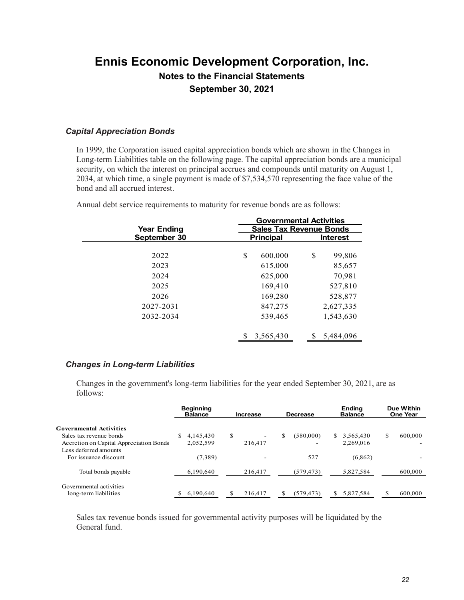## **Ennis Economic Development Corporation, Inc. Notes to the Financial Statements September 30, 2021**

#### *Capital Appreciation Bonds*

In 1999, the Corporation issued capital appreciation bonds which are shown in the Changes in Long-term Liabilities table on the following page. The capital appreciation bonds are a municipal security, on which the interest on principal accrues and compounds until maturity on August 1, 2034, at which time, a single payment is made of \$7,534,570 representing the face value of the bond and all accrued interest.

|                    | <b>Governmental Activities</b> |                 |  |  |
|--------------------|--------------------------------|-----------------|--|--|
| <b>Year Ending</b> | <b>Sales Tax Revenue Bonds</b> |                 |  |  |
| September 30       | <b>Principal</b>               | <b>Interest</b> |  |  |
|                    |                                |                 |  |  |
| 2022               | \$<br>600,000                  | \$<br>99,806    |  |  |
| 2023               | 615,000                        | 85,657          |  |  |
| 2024               | 625,000                        | 70,981          |  |  |
| 2025               | 169,410                        | 527,810         |  |  |
| 2026               | 169,280                        | 528,877         |  |  |
| 2027-2031          | 847,275                        | 2,627,335       |  |  |
| 2032-2034          | 539,465                        | 1,543,630       |  |  |
|                    |                                |                 |  |  |
|                    | 3,565,430                      | 5,484,096       |  |  |

Annual debt service requirements to maturity for revenue bonds are as follows:

### *Changes in Long-term Liabilities*

Changes in the government's long-term liabilities for the year ended September 30, 2021, are as follows:

|                                         | <b>Beginning</b><br><b>Balance</b> | <b>Increase</b> | Decrease       | <b>Ending</b><br><b>Balance</b> | Due Within<br><b>One Year</b> |
|-----------------------------------------|------------------------------------|-----------------|----------------|---------------------------------|-------------------------------|
| <b>Governmental Activities</b>          |                                    |                 |                |                                 |                               |
| Sales tax revenue bonds                 | 4.145.430<br>S.                    | S               | (580,000)<br>S | 3.565.430<br>S.                 | 600,000<br>S                  |
| Accretion on Capital Appreciation Bonds | 2.052.599                          | 216.417         |                | 2,269,016                       |                               |
| Less deferred amounts                   |                                    |                 |                |                                 |                               |
| For issuance discount                   | (7,389)                            |                 | 527            | (6,862)                         |                               |
| Total bonds payable                     | 6,190,640                          | 216,417         | (579, 473)     | 5,827,584                       | 600,000                       |
|                                         |                                    |                 |                |                                 |                               |
| Governmental activities                 |                                    |                 |                |                                 |                               |
| long-term liabilities                   | 6,190,640                          | 216.417         | (579, 473)     | 5,827,584                       | 600,000                       |

Sales tax revenue bonds issued for governmental activity purposes will be liquidated by the General fund.